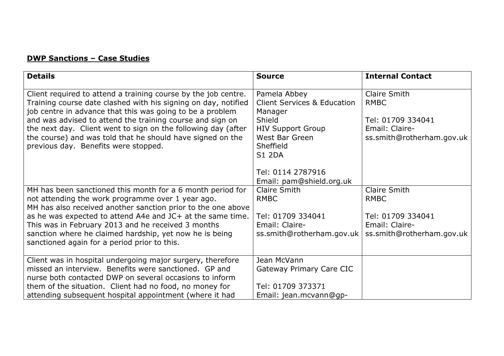## DWP Sanctions – Case Studies

| <b>Details</b>                                                                                                                                                                                | <b>Source</b>                                                     | <b>Internal Contact</b>             |
|-----------------------------------------------------------------------------------------------------------------------------------------------------------------------------------------------|-------------------------------------------------------------------|-------------------------------------|
| Client required to attend a training course by the job centre.<br>Training course date clashed with his signing on day, notified<br>job centre in advance that this was going to be a problem | Pamela Abbey<br><b>Client Services &amp; Education</b><br>Manager | Claire Smith<br><b>RMBC</b>         |
| and was advised to attend the training course and sign on<br>the next day. Client went to sign on the following day (after                                                                    | Shield<br><b>HIV Support Group</b>                                | Tel: 01709 334041<br>Email: Claire- |
| the course) and was told that he should have signed on the<br>previous day. Benefits were stopped.                                                                                            | West Bar Green<br>Sheffield<br><b>S1 2DA</b>                      | ss.smith@rotherham.gov.uk           |
|                                                                                                                                                                                               | Tel: 0114 2787916                                                 |                                     |
|                                                                                                                                                                                               | Email: pam@shield.org.uk                                          |                                     |
| MH has been sanctioned this month for a 6 month period for<br>not attending the work programme over 1 year ago.<br>MH has also received another sanction prior to the one above               | Claire Smith<br><b>RMBC</b>                                       | Claire Smith<br><b>RMBC</b>         |
| as he was expected to attend A4e and JC+ at the same time.                                                                                                                                    | Tel: 01709 334041                                                 | Tel: 01709 334041                   |
| This was in February 2013 and he received 3 months                                                                                                                                            | Email: Claire-                                                    | Email: Claire-                      |
| sanction where he claimed hardship, yet now he is being<br>sanctioned again for a period prior to this.                                                                                       | ss.smith@rotherham.gov.uk                                         | ss.smith@rotherham.gov.uk           |
| Client was in hospital undergoing major surgery, therefore                                                                                                                                    | Jean McVann                                                       |                                     |
| missed an interview. Benefits were sanctioned. GP and<br>nurse both contacted DWP on several occasions to inform                                                                              | Gateway Primary Care CIC                                          |                                     |
| them of the situation. Client had no food, no money for                                                                                                                                       | Tel: 01709 373371                                                 |                                     |
| attending subsequent hospital appointment (where it had                                                                                                                                       | Email: jean.mcvann@qp-                                            |                                     |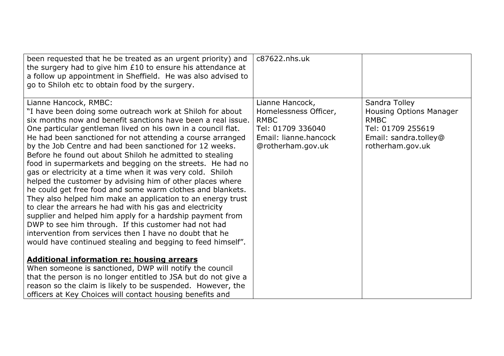| been requested that he be treated as an urgent priority) and<br>the surgery had to give him £10 to ensure his attendance at<br>a follow up appointment in Sheffield. He was also advised to<br>go to Shiloh etc to obtain food by the surgery.                                                                                                                                                                                                                                                                                                                                                                                                                                                                                                                                                                                                                                                                                                                                                                                                                                                                                                                                                                             | c87622.nhs.uk                                                                                                              |                                                                                                                           |
|----------------------------------------------------------------------------------------------------------------------------------------------------------------------------------------------------------------------------------------------------------------------------------------------------------------------------------------------------------------------------------------------------------------------------------------------------------------------------------------------------------------------------------------------------------------------------------------------------------------------------------------------------------------------------------------------------------------------------------------------------------------------------------------------------------------------------------------------------------------------------------------------------------------------------------------------------------------------------------------------------------------------------------------------------------------------------------------------------------------------------------------------------------------------------------------------------------------------------|----------------------------------------------------------------------------------------------------------------------------|---------------------------------------------------------------------------------------------------------------------------|
| Lianne Hancock, RMBC:<br>"I have been doing some outreach work at Shiloh for about<br>six months now and benefit sanctions have been a real issue.<br>One particular gentleman lived on his own in a council flat.<br>He had been sanctioned for not attending a course arranged<br>by the Job Centre and had been sanctioned for 12 weeks.<br>Before he found out about Shiloh he admitted to stealing<br>food in supermarkets and begging on the streets. He had no<br>gas or electricity at a time when it was very cold. Shiloh<br>helped the customer by advising him of other places where<br>he could get free food and some warm clothes and blankets.<br>They also helped him make an application to an energy trust<br>to clear the arrears he had with his gas and electricity<br>supplier and helped him apply for a hardship payment from<br>DWP to see him through. If this customer had not had<br>intervention from services then I have no doubt that he<br>would have continued stealing and begging to feed himself".<br><b>Additional information re: housing arrears</b><br>When someone is sanctioned, DWP will notify the council<br>that the person is no longer entitled to JSA but do not give a | Lianne Hancock,<br>Homelessness Officer,<br><b>RMBC</b><br>Tel: 01709 336040<br>Email: lianne.hancock<br>@rotherham.gov.uk | Sandra Tolley<br>Housing Options Manager<br><b>RMBC</b><br>Tel: 01709 255619<br>Email: sandra.tolley@<br>rotherham.gov.uk |
| reason so the claim is likely to be suspended. However, the<br>officers at Key Choices will contact housing benefits and                                                                                                                                                                                                                                                                                                                                                                                                                                                                                                                                                                                                                                                                                                                                                                                                                                                                                                                                                                                                                                                                                                   |                                                                                                                            |                                                                                                                           |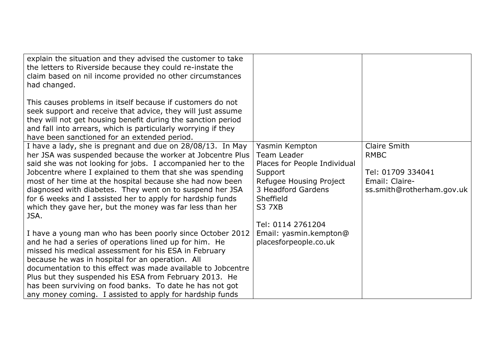| explain the situation and they advised the customer to take<br>the letters to Riverside because they could re-instate the<br>claim based on nil income provided no other circumstances<br>had changed.                                                                                                     |                                                               |                             |
|------------------------------------------------------------------------------------------------------------------------------------------------------------------------------------------------------------------------------------------------------------------------------------------------------------|---------------------------------------------------------------|-----------------------------|
| This causes problems in itself because if customers do not<br>seek support and receive that advice, they will just assume<br>they will not get housing benefit during the sanction period<br>and fall into arrears, which is particularly worrying if they<br>have been sanctioned for an extended period. |                                                               |                             |
| I have a lady, she is pregnant and due on 28/08/13. In May<br>her JSA was suspended because the worker at Jobcentre Plus<br>said she was not looking for jobs. I accompanied her to the                                                                                                                    | Yasmin Kempton<br>Team Leader<br>Places for People Individual | Claire Smith<br><b>RMBC</b> |
| Jobcentre where I explained to them that she was spending                                                                                                                                                                                                                                                  | Support                                                       | Tel: 01709 334041           |
| most of her time at the hospital because she had now been                                                                                                                                                                                                                                                  | Refugee Housing Project                                       | Email: Claire-              |
| diagnosed with diabetes. They went on to suspend her JSA                                                                                                                                                                                                                                                   | 3 Headford Gardens                                            | ss.smith@rotherham.gov.uk   |
| for 6 weeks and I assisted her to apply for hardship funds                                                                                                                                                                                                                                                 | Sheffield                                                     |                             |
| which they gave her, but the money was far less than her<br>JSA.                                                                                                                                                                                                                                           | <b>S3 7XB</b>                                                 |                             |
|                                                                                                                                                                                                                                                                                                            | Tel: 0114 2761204                                             |                             |
| I have a young man who has been poorly since October 2012                                                                                                                                                                                                                                                  | Email: yasmin.kempton@                                        |                             |
| and he had a series of operations lined up for him. He                                                                                                                                                                                                                                                     | placesforpeople.co.uk                                         |                             |
| missed his medical assessment for his ESA in February<br>because he was in hospital for an operation. All                                                                                                                                                                                                  |                                                               |                             |
| documentation to this effect was made available to Jobcentre                                                                                                                                                                                                                                               |                                                               |                             |
| Plus but they suspended his ESA from February 2013. He                                                                                                                                                                                                                                                     |                                                               |                             |
| has been surviving on food banks. To date he has not got                                                                                                                                                                                                                                                   |                                                               |                             |
| any money coming. I assisted to apply for hardship funds                                                                                                                                                                                                                                                   |                                                               |                             |